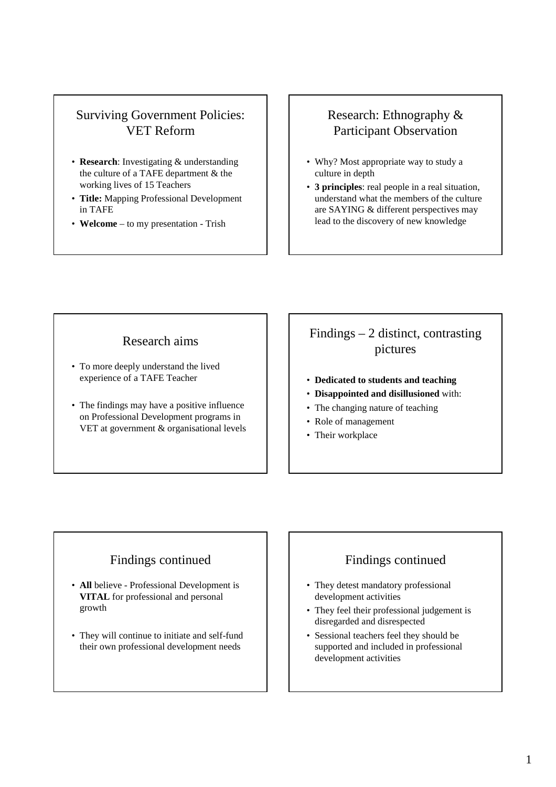# Surviving Government Policies: VET Reform

- **Research**: Investigating & understanding the culture of a TAFE department & the working lives of 15 Teachers
- **Title:** Mapping Professional Development in TAFE
- **Welcome** to my presentation Trish

# Research: Ethnography & Participant Observation

- Why? Most appropriate way to study a culture in depth
- **3 principles**: real people in a real situation, understand what the members of the culture are SAYING & different perspectives may lead to the discovery of new knowledge

#### Research aims

- To more deeply understand the lived experience of a TAFE Teacher
- The findings may have a positive influence on Professional Development programs in VET at government & organisational levels

# Findings – 2 distinct, contrasting pictures

- **Dedicated to students and teaching**
- **Disappointed and disillusioned** with:
- The changing nature of teaching
- Role of management
- Their workplace

## Findings continued

- **All** believe Professional Development is **VITAL** for professional and personal growth
- They will continue to initiate and self-fund their own professional development needs

# Findings continued

- They detest mandatory professional development activities
- They feel their professional judgement is disregarded and disrespected
- Sessional teachers feel they should be supported and included in professional development activities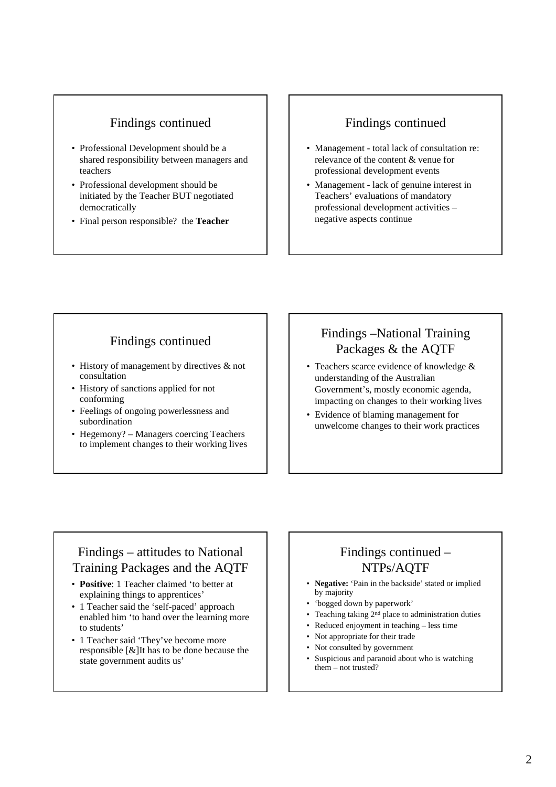# Findings continued

- Professional Development should be a shared responsibility between managers and teachers
- Professional development should be initiated by the Teacher BUT negotiated democratically
- Final person responsible? the **Teacher**

### Findings continued

- Management total lack of consultation re: relevance of the content & venue for professional development events
- Management lack of genuine interest in Teachers' evaluations of mandatory professional development activities – negative aspects continue

### Findings continued

- History of management by directives & not consultation
- History of sanctions applied for not conforming
- Feelings of ongoing powerlessness and subordination
- Hegemony? Managers coercing Teachers to implement changes to their working lives

# Findings –National Training Packages & the AQTF

- Teachers scarce evidence of knowledge & understanding of the Australian Government's, mostly economic agenda, impacting on changes to their working lives
- Evidence of blaming management for unwelcome changes to their work practices

## Findings – attitudes to National Training Packages and the AQTF

- **Positive**: 1 Teacher claimed 'to better at explaining things to apprentices'
- 1 Teacher said the 'self-paced' approach enabled him 'to hand over the learning more to students'
- 1 Teacher said 'They've become more responsible [&]It has to be done because the state government audits us'

# Findings continued – NTPs/AQTF

- **Negative:** 'Pain in the backside' stated or implied by majority
- 'bogged down by paperwork'
- Teaching taking 2nd place to administration duties
- Reduced enjoyment in teaching less time
- Not appropriate for their trade
- Not consulted by government
- Suspicious and paranoid about who is watching them – not trusted?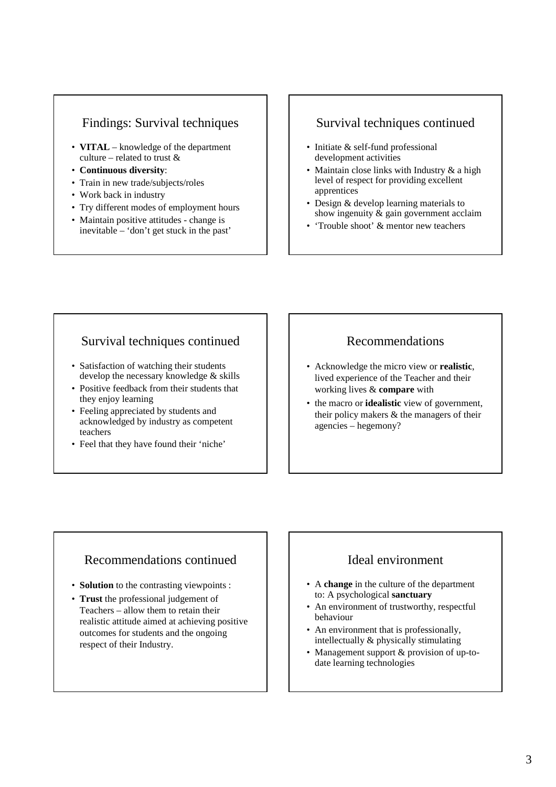### Findings: Survival techniques

- **VITAL** knowledge of the department culture – related to trust  $\&$
- **Continuous diversity**:
- Train in new trade/subjects/roles
- Work back in industry
- Try different modes of employment hours
- Maintain positive attitudes change is inevitable – 'don't get stuck in the past'

# Survival techniques continued

- Initiate & self-fund professional development activities
- Maintain close links with Industry & a high level of respect for providing excellent apprentices
- Design & develop learning materials to show ingenuity  $\&$  gain government acclaim
- 'Trouble shoot' & mentor new teachers

### Survival techniques continued

- Satisfaction of watching their students develop the necessary knowledge & skills
- Positive feedback from their students that they enjoy learning
- Feeling appreciated by students and acknowledged by industry as competent teachers
- Feel that they have found their 'niche'

## Recommendations

- Acknowledge the micro view or **realistic**, lived experience of the Teacher and their working lives & **compare** with
- the macro or **idealistic** view of government, their policy makers & the managers of their agencies – hegemony?

### Recommendations continued

- **Solution** to the contrasting viewpoints :
- **Trust** the professional judgement of Teachers – allow them to retain their realistic attitude aimed at achieving positive outcomes for students and the ongoing respect of their Industry.

## Ideal environment

- A **change** in the culture of the department to: A psychological **sanctuary**
- An environment of trustworthy, respectful behaviour
- An environment that is professionally, intellectually & physically stimulating
- Management support & provision of up-todate learning technologies